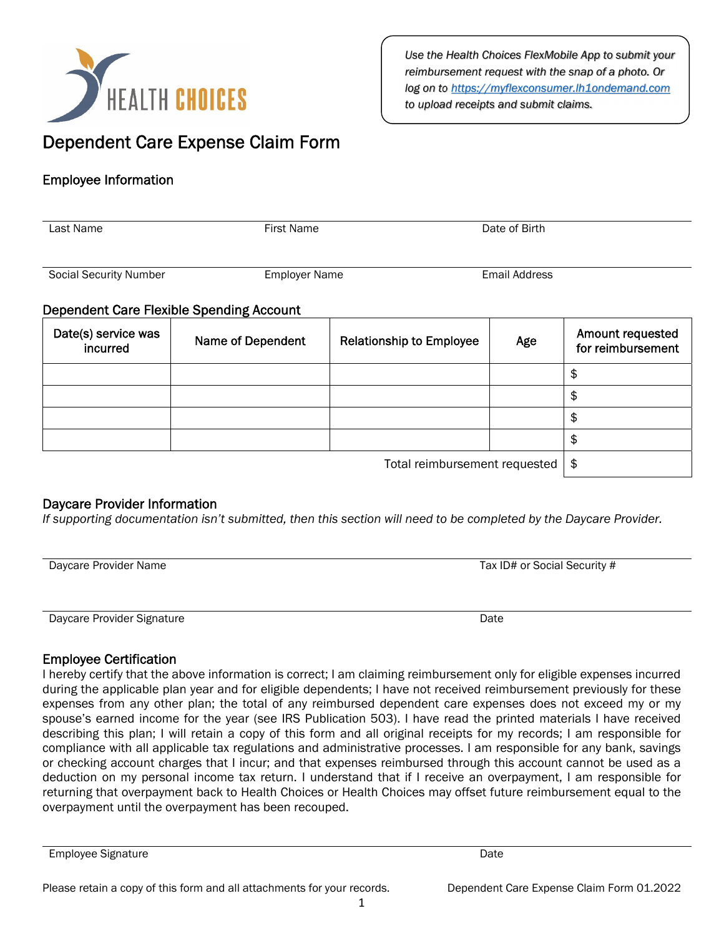

*Use the Health Choices FlexMobile App to submit your reimbursement request with the snap of a photo. Or log on to https://myflexconsumer.lh1ondemand.com to upload receipts and submit claims.* 

# Dependent Care Expense Claim Form

# Employee Information

| Last Name                                       | <b>First Name</b>    |                                 | Date of Birth        |                                       |
|-------------------------------------------------|----------------------|---------------------------------|----------------------|---------------------------------------|
| <b>Social Security Number</b>                   | <b>Employer Name</b> |                                 | <b>Email Address</b> |                                       |
| <b>Dependent Care Flexible Spending Account</b> |                      |                                 |                      |                                       |
| Date(s) service was<br>incurred                 | Name of Dependent    | <b>Relationship to Employee</b> | Age                  | Amount requested<br>for reimbursement |
|                                                 |                      |                                 |                      | \$                                    |
|                                                 |                      |                                 |                      | \$                                    |
|                                                 |                      |                                 |                      | \$                                    |
|                                                 |                      |                                 |                      | \$                                    |
| Total reimbursement requested                   |                      |                                 |                      | \$                                    |

## Daycare Provider Information

*If supporting documentation isn't submitted, then this section will need to be completed by the Daycare Provider.* 

| Daycare Provider Name | Tax ID# or Social Security # |  |  |
|-----------------------|------------------------------|--|--|
|                       |                              |  |  |
|                       |                              |  |  |

Daycare Provider Signature Date

## Employee Certification

I hereby certify that the above information is correct; I am claiming reimbursement only for eligible expenses incurred during the applicable plan year and for eligible dependents; I have not received reimbursement previously for these expenses from any other plan; the total of any reimbursed dependent care expenses does not exceed my or my spouse's earned income for the year (see IRS Publication 503). I have read the printed materials I have received describing this plan; I will retain a copy of this form and all original receipts for my records; I am responsible for compliance with all applicable tax regulations and administrative processes. I am responsible for any bank, savings or checking account charges that I incur; and that expenses reimbursed through this account cannot be used as a deduction on my personal income tax return. I understand that if I receive an overpayment, I am responsible for returning that overpayment back to Health Choices or Health Choices may offset future reimbursement equal to the overpayment until the overpayment has been recouped.

Employee Signature Date Date of the Date of the Date Date Date Date Date Date Date